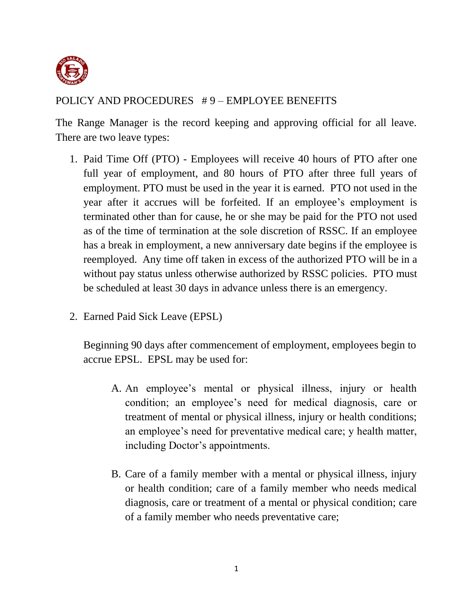

## POLICY AND PROCEDURES # 9 – EMPLOYEE BENEFITS

The Range Manager is the record keeping and approving official for all leave. There are two leave types:

- 1. Paid Time Off (PTO) Employees will receive 40 hours of PTO after one full year of employment, and 80 hours of PTO after three full years of employment. PTO must be used in the year it is earned. PTO not used in the year after it accrues will be forfeited. If an employee's employment is terminated other than for cause, he or she may be paid for the PTO not used as of the time of termination at the sole discretion of RSSC. If an employee has a break in employment, a new anniversary date begins if the employee is reemployed. Any time off taken in excess of the authorized PTO will be in a without pay status unless otherwise authorized by RSSC policies. PTO must be scheduled at least 30 days in advance unless there is an emergency.
- 2. Earned Paid Sick Leave (EPSL)

Beginning 90 days after commencement of employment, employees begin to accrue EPSL. EPSL may be used for:

- A. An employee's mental or physical illness, injury or health condition; an employee's need for medical diagnosis, care or treatment of mental or physical illness, injury or health conditions; an employee's need for preventative medical care; y health matter, including Doctor's appointments.
- B. Care of a family member with a mental or physical illness, injury or health condition; care of a family member who needs medical diagnosis, care or treatment of a mental or physical condition; care of a family member who needs preventative care;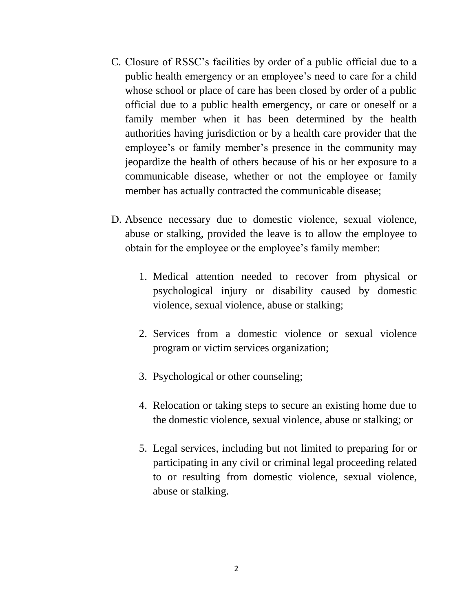- C. Closure of RSSC's facilities by order of a public official due to a public health emergency or an employee's need to care for a child whose school or place of care has been closed by order of a public official due to a public health emergency, or care or oneself or a family member when it has been determined by the health authorities having jurisdiction or by a health care provider that the employee's or family member's presence in the community may jeopardize the health of others because of his or her exposure to a communicable disease, whether or not the employee or family member has actually contracted the communicable disease;
- D. Absence necessary due to domestic violence, sexual violence, abuse or stalking, provided the leave is to allow the employee to obtain for the employee or the employee's family member:
	- 1. Medical attention needed to recover from physical or psychological injury or disability caused by domestic violence, sexual violence, abuse or stalking;
	- 2. Services from a domestic violence or sexual violence program or victim services organization;
	- 3. Psychological or other counseling;
	- 4. Relocation or taking steps to secure an existing home due to the domestic violence, sexual violence, abuse or stalking; or
	- 5. Legal services, including but not limited to preparing for or participating in any civil or criminal legal proceeding related to or resulting from domestic violence, sexual violence, abuse or stalking.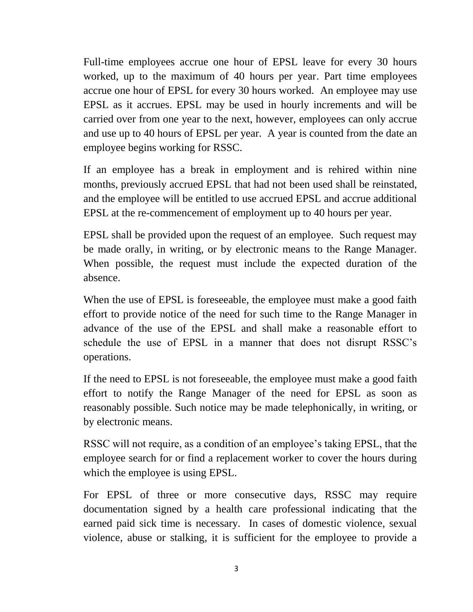Full-time employees accrue one hour of EPSL leave for every 30 hours worked, up to the maximum of 40 hours per year. Part time employees accrue one hour of EPSL for every 30 hours worked. An employee may use EPSL as it accrues. EPSL may be used in hourly increments and will be carried over from one year to the next, however, employees can only accrue and use up to 40 hours of EPSL per year. A year is counted from the date an employee begins working for RSSC.

If an employee has a break in employment and is rehired within nine months, previously accrued EPSL that had not been used shall be reinstated, and the employee will be entitled to use accrued EPSL and accrue additional EPSL at the re-commencement of employment up to 40 hours per year.

EPSL shall be provided upon the request of an employee. Such request may be made orally, in writing, or by electronic means to the Range Manager. When possible, the request must include the expected duration of the absence.

When the use of EPSL is foreseeable, the employee must make a good faith effort to provide notice of the need for such time to the Range Manager in advance of the use of the EPSL and shall make a reasonable effort to schedule the use of EPSL in a manner that does not disrupt RSSC's operations.

If the need to EPSL is not foreseeable, the employee must make a good faith effort to notify the Range Manager of the need for EPSL as soon as reasonably possible. Such notice may be made telephonically, in writing, or by electronic means.

RSSC will not require, as a condition of an employee's taking EPSL, that the employee search for or find a replacement worker to cover the hours during which the employee is using EPSL.

For EPSL of three or more consecutive days, RSSC may require documentation signed by a health care professional indicating that the earned paid sick time is necessary. In cases of domestic violence, sexual violence, abuse or stalking, it is sufficient for the employee to provide a